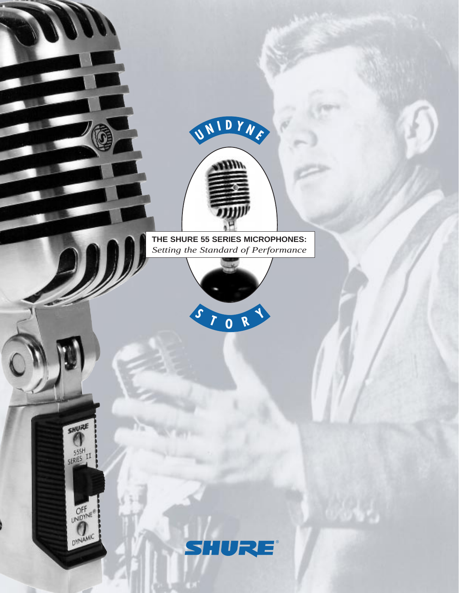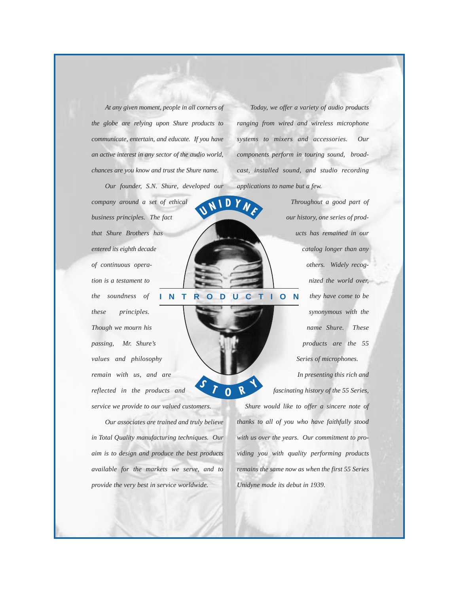*At any given moment, people in all corners of the globe are relying upon Shure products to communicate, entertain, and educate. If you have an active interest in any sector of the audio world, chances are you know and trust the Shure name.*

*Our founder, S.N. Shure, developed our*

**U**

**<sup>N</sup> <sup>I</sup> <sup>D</sup> <sup>Y</sup> <sup>N</sup> <sup>E</sup>**

*company around a set of ethical business principles. The fact that Shure Brothers has entered its eighth decade of continuous operation is a testament to the soundness of these principles. Though we mourn his passing, Mr. Shure's values and philosophy remain with us, and are reflected in the products and service we provide to our valued customers.*

*Our associates are trained and truly believe in Total Quality manufacturing techniques. Our aim is to design and produce the best products available for the markets we serve, and to provide the very best in service worldwide.* 

*Today, we offer a variety of audio products ranging from wired and wireless microphone systems to mixers and accessories. Our components perform in touring sound, broadcast, installed sound, and studio recording applications to name but a few.* 

*Throughout a good part of our history, one series of products has remained in our catalog longer than any others. Widely recognized the world over, they have come to be synonymous with the name Shure. These products are the 55 Series of microphones.* **INTRODUCTION**

> *In presenting this rich and fascinating history of the 55 Series, Shure would like to offer a sincere note of thanks to all of you who have faithfully stood with us over the years. Our commitment to providing you with quality performing products remains the same now as when the first 55 Series Unidyne made its debut in 1939.*  **<sup>S</sup> <sup>T</sup> <sup>O</sup> <sup>R</sup> <sup>Y</sup>**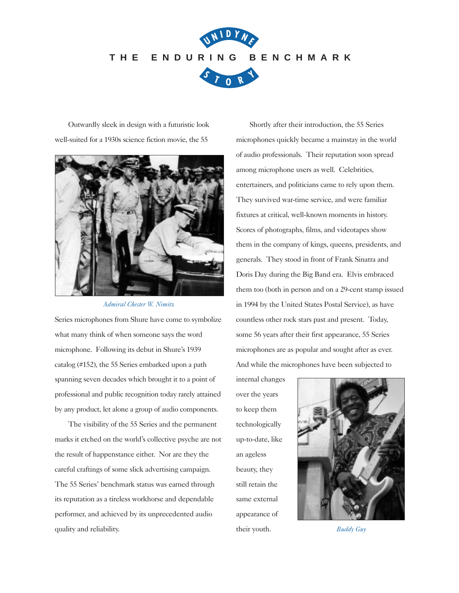

Outwardly sleek in design with a futuristic look well-suited for a 1930s science fiction movie, the 55



*Admiral Chester W. Nimitz*

Series microphones from Shure have come to symbolize what many think of when someone says the word microphone. Following its debut in Shure's 1939 catalog (#152), the 55 Series embarked upon a path spanning seven decades which brought it to a point of professional and public recognition today rarely attained by any product, let alone a group of audio components.

The visibility of the 55 Series and the permanent marks it etched on the world's collective psyche are not the result of happenstance either. Nor are they the careful craftings of some slick advertising campaign. The 55 Series' benchmark status was earned through its reputation as a tireless workhorse and dependable performer, and achieved by its unprecedented audio quality and reliability.

Shortly after their introduction, the 55 Series microphones quickly became a mainstay in the world of audio professionals. Their reputation soon spread among microphone users as well. Celebrities, entertainers, and politicians came to rely upon them. They survived war-time service, and were familiar fixtures at critical, well-known moments in history. Scores of photographs, films, and videotapes show them in the company of kings, queens, presidents, and generals. They stood in front of Frank Sinatra and Doris Day during the Big Band era. Elvis embraced them too (both in person and on a 29-cent stamp issued in 1994 by the United States Postal Service), as have countless other rock stars past and present. Today, some 56 years after their first appearance, 55 Series microphones are as popular and sought after as ever. And while the microphones have been subjected to

internal changes over the years to keep them technologically up-to-date, like an ageless beauty, they still retain the same external appearance of their youth. *Buddy Guy*

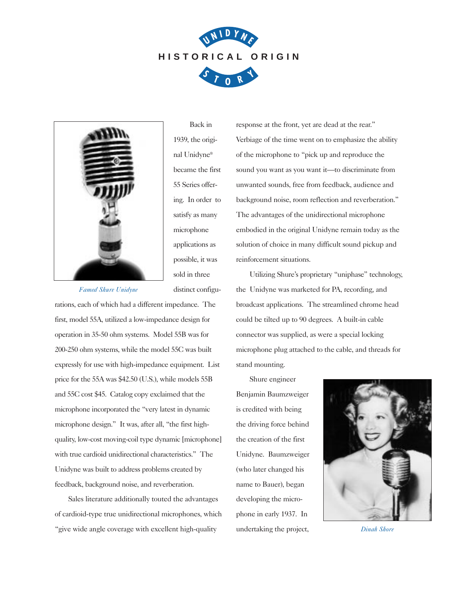



Back in 1939, the original Unidyne® became the first 55 Series offering. In order to satisfy as many microphone applications as possible, it was sold in three distinct configu-

*Famed Shure Unidyne*

rations, each of which had a different impedance. The first, model 55A, utilized a low-impedance design for operation in 35-50 ohm systems. Model 55B was for 200-250 ohm systems, while the model 55C was built expressly for use with high-impedance equipment. List price for the 55A was \$42.50 (U.S.), while models 55B and 55C cost \$45. Catalog copy exclaimed that the microphone incorporated the "very latest in dynamic microphone design." It was, after all, "the first highquality, low-cost moving-coil type dynamic [microphone] with true cardioid unidirectional characteristics." The Unidyne was built to address problems created by feedback, background noise, and reverberation.

Sales literature additionally touted the advantages of cardioid-type true unidirectional microphones, which "give wide angle coverage with excellent high-quality

response at the front, yet are dead at the rear." Verbiage of the time went on to emphasize the ability of the microphone to "pick up and reproduce the sound you want as you want it—to discriminate from unwanted sounds, free from feedback, audience and background noise, room reflection and reverberation." The advantages of the unidirectional microphone embodied in the original Unidyne remain today as the solution of choice in many difficult sound pickup and reinforcement situations.

Utilizing Shure's proprietary "uniphase" technology, the Unidyne was marketed for PA, recording, and broadcast applications. The streamlined chrome head could be tilted up to 90 degrees. A built-in cable connector was supplied, as were a special locking microphone plug attached to the cable, and threads for stand mounting.

Shure engineer Benjamin Baumzweiger is credited with being the driving force behind the creation of the first Unidyne. Baumzweiger (who later changed his name to Bauer), began developing the microphone in early 1937. In undertaking the project,



*Dinah Shore*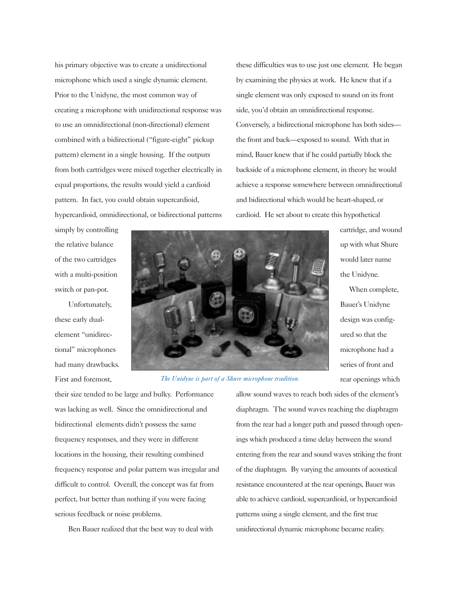his primary objective was to create a unidirectional microphone which used a single dynamic element. Prior to the Unidyne, the most common way of creating a microphone with unidirectional response was to use an omnidirectional (non-directional) element combined with a bidirectional ("figure-eight" pickup pattern) element in a single housing. If the outputs from both cartridges were mixed together electrically in equal proportions, the results would yield a cardioid pattern. In fact, you could obtain supercardioid, hypercardioid, omnidirectional, or bidirectional patterns

these difficulties was to use just one element. He began by examining the physics at work. He knew that if a single element was only exposed to sound on its front side, you'd obtain an omnidirectional response. Conversely, a bidirectional microphone has both sides the front and back—exposed to sound. With that in mind, Bauer knew that if he could partially block the backside of a microphone element, in theory he would achieve a response somewhere between omnidirectional and bidirectional which would be heart-shaped, or cardioid. He set about to create this hypothetical

simply by controlling the relative balance of the two cartridges with a multi-position switch or pan-pot.

Unfortunately, these early dualelement "unidirectional" microphones had many drawbacks. First and foremost,



*The Unidyne is part of a Shure microphone tradition.*

cartridge, and wound up with what Shure would later name the Unidyne.

When complete, Bauer's Unidyne design was configured so that the microphone had a series of front and rear openings which

their size tended to be large and bulky. Performance was lacking as well. Since the omnidirectional and bidirectional elements didn't possess the same frequency responses, and they were in different locations in the housing, their resulting combined frequency response and polar pattern was irregular and difficult to control. Overall, the concept was far from perfect, but better than nothing if you were facing serious feedback or noise problems.

Ben Bauer realized that the best way to deal with

allow sound waves to reach both sides of the element's diaphragm. The sound waves reaching the diaphragm from the rear had a longer path and passed through openings which produced a time delay between the sound entering from the rear and sound waves striking the front of the diaphragm. By varying the amounts of acoustical resistance encountered at the rear openings, Bauer was able to achieve cardioid, supercardioid, or hypercardioid patterns using a single element, and the first true unidirectional dynamic microphone became reality.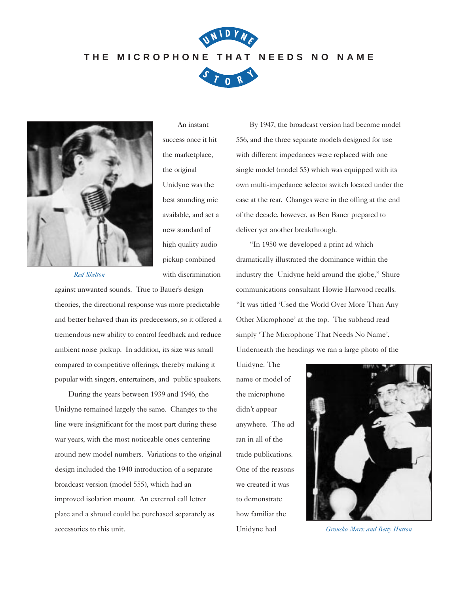## **THE MICROPHONE THAT NEEDS NO NAME**

**<sup>N</sup> <sup>I</sup> <sup>D</sup> <sup>Y</sup> <sup>N</sup> <sup>E</sup>**

**U**





An instant success once it hit the marketplace, the original Unidyne was the best sounding mic available, and set a new standard of high quality audio pickup combined with discrimination

*Red Skelton*

against unwanted sounds. True to Bauer's design theories, the directional response was more predictable and better behaved than its predecessors, so it offered a tremendous new ability to control feedback and reduce ambient noise pickup. In addition, its size was small compared to competitive offerings, thereby making it popular with singers, entertainers, and public speakers.

During the years between 1939 and 1946, the Unidyne remained largely the same. Changes to the line were insignificant for the most part during these war years, with the most noticeable ones centering around new model numbers. Variations to the original design included the 1940 introduction of a separate broadcast version (model 555), which had an improved isolation mount. An external call letter plate and a shroud could be purchased separately as accessories to this unit.

By 1947, the broadcast version had become model 556, and the three separate models designed for use with different impedances were replaced with one single model (model 55) which was equipped with its own multi-impedance selector switch located under the case at the rear. Changes were in the offing at the end of the decade, however, as Ben Bauer prepared to deliver yet another breakthrough.

"In 1950 we developed a print ad which dramatically illustrated the dominance within the industry the Unidyne held around the globe," Shure communications consultant Howie Harwood recalls. "It was titled 'Used the World Over More Than Any Other Microphone' at the top. The subhead read simply 'The Microphone That Needs No Name'. Underneath the headings we ran a large photo of the

Unidyne. The name or model of the microphone didn't appear anywhere. The ad ran in all of the trade publications. One of the reasons we created it was to demonstrate how familiar the Unidyne had



*Groucho Marx and Betty Hutton*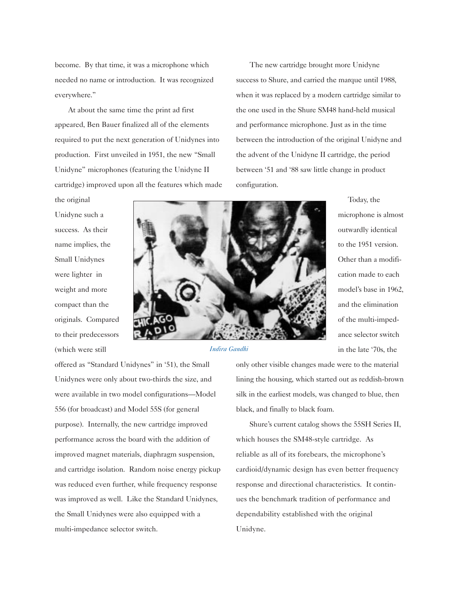become. By that time, it was a microphone which needed no name or introduction. It was recognized everywhere."

At about the same time the print ad first appeared, Ben Bauer finalized all of the elements required to put the next generation of Unidynes into production. First unveiled in 1951, the new "Small Unidyne" microphones (featuring the Unidyne II cartridge) improved upon all the features which made

The new cartridge brought more Unidyne success to Shure, and carried the marque until 1988, when it was replaced by a modern cartridge similar to the one used in the Shure SM48 hand-held musical and performance microphone. Just as in the time between the introduction of the original Unidyne and the advent of the Unidyne II cartridge, the period between '51 and '88 saw little change in product configuration.

Today, the

microphone is almost outwardly identical to the 1951 version. Other than a modifi-

cation made to each

model's base in 1962, and the elimination

of the multi-impedance selector switch

in the late '70s, the

the original Unidyne such a success. As their name implies, the Small Unidynes were lighter in weight and more compact than the originals. Compared to their predecessors (which were still



*Indira Gandhi*

offered as "Standard Unidynes" in '51), the Small Unidynes were only about two-thirds the size, and were available in two model configurations—Model 556 (for broadcast) and Model 55S (for general purpose). Internally, the new cartridge improved performance across the board with the addition of improved magnet materials, diaphragm suspension, and cartridge isolation. Random noise energy pickup was reduced even further, while frequency response was improved as well. Like the Standard Unidynes, the Small Unidynes were also equipped with a multi-impedance selector switch.

only other visible changes made were to the material lining the housing, which started out as reddish-brown silk in the earliest models, was changed to blue, then black, and finally to black foam.

Shure's current catalog shows the 55SH Series II, which houses the SM48-style cartridge. As reliable as all of its forebears, the microphone's cardioid/dynamic design has even better frequency response and directional characteristics. It continues the benchmark tradition of performance and dependability established with the original Unidyne.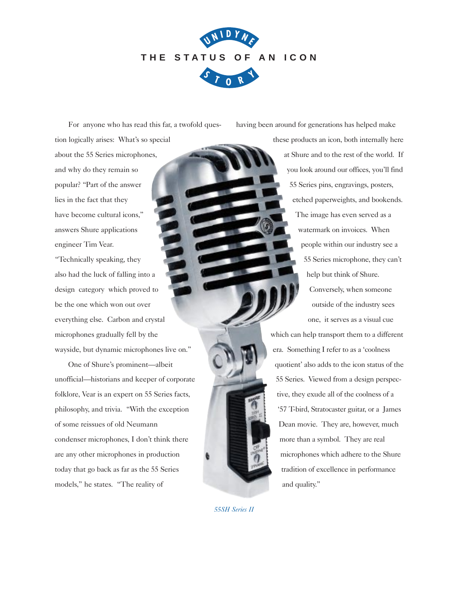

For anyone who has read this far, a twofold question logically arises: What's so special about the 55 Series microphones, and why do they remain so popular? "Part of the answer lies in the fact that they have become cultural icons," answers Shure applications engineer Tim Vear.

"Technically speaking, they also had the luck of falling into a design category which proved to be the one which won out over everything else. Carbon and crystal microphones gradually fell by the wayside, but dynamic microphones live on."

One of Shure's prominent—albeit unofficial—historians and keeper of corporate folklore, Vear is an expert on 55 Series facts, philosophy, and trivia. "With the exception of some reissues of old Neumann condenser microphones, I don't think there are any other microphones in production today that go back as far as the 55 Series models," he states. "The reality of

having been around for generations has helped make

these products an icon, both internally here at Shure and to the rest of the world. If you look around our offices, you'll find 55 Series pins, engravings, posters, etched paperweights, and bookends. The image has even served as a watermark on invoices. When people within our industry see a 55 Series microphone, they can't help but think of Shure. Conversely, when someone outside of the industry sees one, it serves as a visual cue

which can help transport them to a different era. Something I refer to as a 'coolness quotient' also adds to the icon status of the 55 Series. Viewed from a design perspective, they exude all of the coolness of a '57 T-bird, Stratocaster guitar, or a James Dean movie. They are, however, much more than a symbol. They are real microphones which adhere to the Shure tradition of excellence in performance and quality."

*55SH Series II*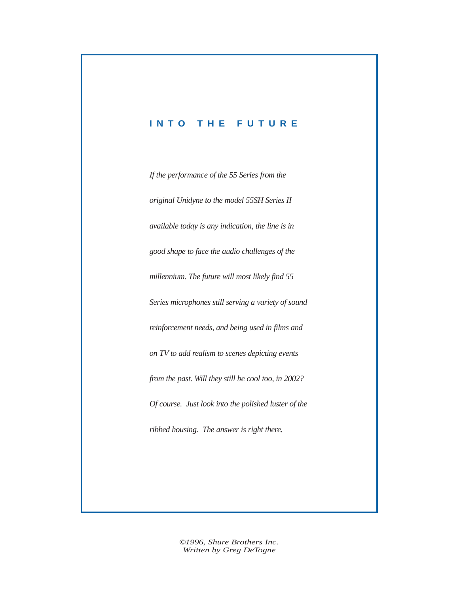## **INTO THE FUTURE**

*If the performance of the 55 Series from the original Unidyne to the model 55SH Series II available today is any indication, the line is in good shape to face the audio challenges of the millennium. The future will most likely find 55 Series microphones still serving a variety of sound reinforcement needs, and being used in films and on TV to add realism to scenes depicting events from the past. Will they still be cool too, in 2002? Of course. Just look into the polished luster of the ribbed housing. The answer is right there.*

> *©1996, Shure Brothers Inc. Written by Greg DeTogne*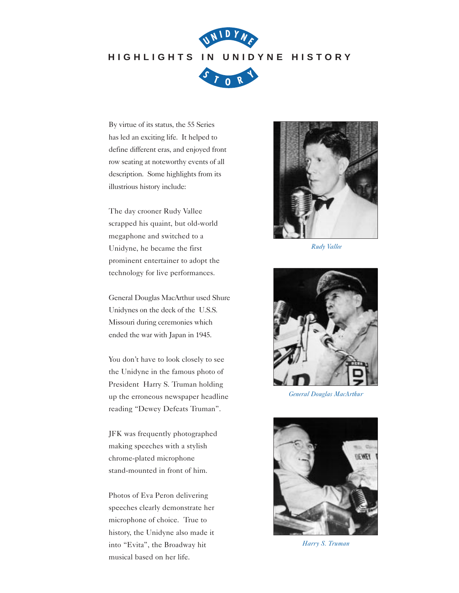## **HIGHLIGHTS IN UNIDYNE HISTORY**

**<sup>N</sup> <sup>I</sup> <sup>D</sup> <sup>Y</sup> <sup>N</sup> <sup>E</sup>**

**U**



By virtue of its status, the 55 Series has led an exciting life. It helped to define different eras, and enjoyed front row seating at noteworthy events of all description. Some highlights from its illustrious history include:

The day crooner Rudy Vallee scrapped his quaint, but old-world megaphone and switched to a Unidyne, he became the first prominent entertainer to adopt the technology for live performances.

General Douglas MacArthur used Shure Unidynes on the deck of the U.S.S. Missouri during ceremonies which ended the war with Japan in 1945.

You don't have to look closely to see the Unidyne in the famous photo of President Harry S. Truman holding up the erroneous newspaper headline reading "Dewey Defeats Truman".

JFK was frequently photographed making speeches with a stylish chrome-plated microphone stand-mounted in front of him.

Photos of Eva Peron delivering speeches clearly demonstrate her microphone of choice. True to history, the Unidyne also made it into "Evita", the Broadway hit musical based on her life.



*Rudy Vallee*



*General Douglas MacArthur*



*Harry S. Truman*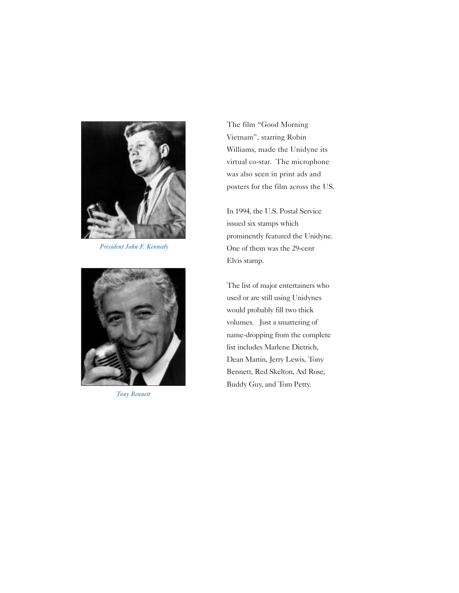

*President John F. Kennedy*



*Tony Bennett*

The film "Good Morning Vietnam", starring Robin Williams, made the Unidyne its virtual co-star. The microphone was also seen in print ads and posters for the film across the US.

In 1994, the U.S. Postal Service issued six stamps which prominently featured the Unidyne. One of them was the 29-cent Elvis stamp.

The list of major entertainers who used or are still using Unidynes would probably fill two thick volumes. Just a smattering of name-dropping from the complete list includes Marlene Dietrich, Dean Martin, Jerry Lewis, Tony Bennett, Red Skelton, Axl Rose, Buddy Guy, and Tom Petty.